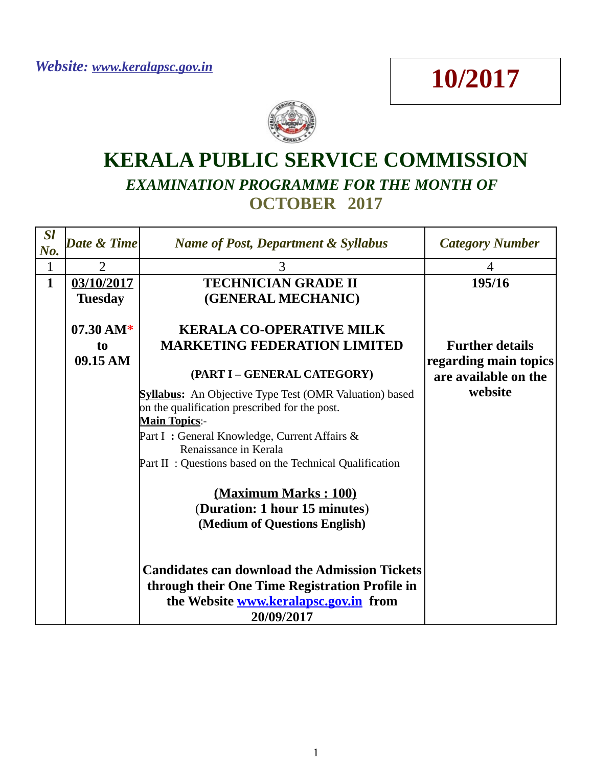## **10/2017**



## **KERALA PUBLIC SERVICE COMMISSION** *EXAMINATION PROGRAMME FOR THE MONTH OF*  **OCTOBER 2017**

| <b>Sl</b><br>No. | Date & Time         | <b>Name of Post, Department &amp; Syllabus</b>                                                                                                                | <b>Category Number</b>                        |
|------------------|---------------------|---------------------------------------------------------------------------------------------------------------------------------------------------------------|-----------------------------------------------|
| $\mathbf{1}$     | $\overline{2}$      | 3                                                                                                                                                             | 4                                             |
| $\mathbf{1}$     | 03/10/2017          | <b>TECHNICIAN GRADE II</b>                                                                                                                                    | 195/16                                        |
|                  | <b>Tuesday</b>      | (GENERAL MECHANIC)                                                                                                                                            |                                               |
|                  |                     |                                                                                                                                                               |                                               |
|                  | $07.30 \text{ AM*}$ | <b>KERALA CO-OPERATIVE MILK</b>                                                                                                                               |                                               |
|                  | to                  | <b>MARKETING FEDERATION LIMITED</b>                                                                                                                           | <b>Further details</b>                        |
|                  | 09.15 AM            | (PART I - GENERAL CATEGORY)                                                                                                                                   | regarding main topics<br>are available on the |
|                  |                     | <b>Syllabus:</b> An Objective Type Test (OMR Valuation) based<br>on the qualification prescribed for the post.<br><b>Main Topics:-</b>                        | website                                       |
|                  |                     | Part I: General Knowledge, Current Affairs &<br>Renaissance in Kerala                                                                                         |                                               |
|                  |                     | Part II: Questions based on the Technical Qualification                                                                                                       |                                               |
|                  |                     | (Maximum Marks: 100)<br>(Duration: 1 hour 15 minutes)<br>(Medium of Questions English)                                                                        |                                               |
|                  |                     | <b>Candidates can download the Admission Tickets</b><br>through their One Time Registration Profile in<br>the Website www.keralapsc.gov.in from<br>20/09/2017 |                                               |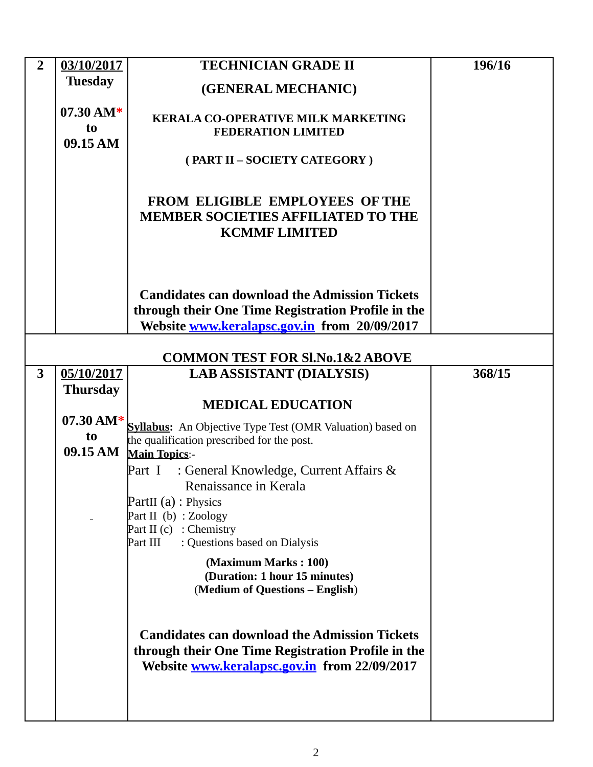| $\overline{2}$          | 03/10/2017          | <b>TECHNICIAN GRADE II</b>                                                                         | 196/16 |
|-------------------------|---------------------|----------------------------------------------------------------------------------------------------|--------|
|                         | <b>Tuesday</b>      | (GENERAL MECHANIC)                                                                                 |        |
|                         | $07.30 \text{ AM*}$ |                                                                                                    |        |
|                         | t <sub>0</sub>      | <b>KERALA CO-OPERATIVE MILK MARKETING</b><br><b>FEDERATION LIMITED</b>                             |        |
|                         | 09.15 AM            |                                                                                                    |        |
|                         |                     | (PART II - SOCIETY CATEGORY)                                                                       |        |
|                         |                     |                                                                                                    |        |
|                         |                     | <b>FROM ELIGIBLE EMPLOYEES OF THE</b><br><b>MEMBER SOCIETIES AFFILIATED TO THE</b>                 |        |
|                         |                     | <b>KCMMF LIMITED</b>                                                                               |        |
|                         |                     |                                                                                                    |        |
|                         |                     |                                                                                                    |        |
|                         |                     | <b>Candidates can download the Admission Tickets</b>                                               |        |
|                         |                     | through their One Time Registration Profile in the                                                 |        |
|                         |                     | Website www.keralapsc.gov.in from 20/09/2017                                                       |        |
|                         |                     | <b>COMMON TEST FOR SI.No.1&amp;2 ABOVE</b>                                                         |        |
| $\overline{\mathbf{3}}$ | 05/10/2017          | <b>LAB ASSISTANT (DIALYSIS)</b>                                                                    | 368/15 |
|                         | <b>Thursday</b>     |                                                                                                    |        |
|                         |                     | <b>MEDICAL EDUCATION</b>                                                                           |        |
|                         | $07.30 \text{ AM*}$ | <b>Syllabus:</b> An Objective Type Test (OMR Valuation) based on                                   |        |
|                         | t <sub>0</sub>      | the qualification prescribed for the post.                                                         |        |
|                         | 09.15 AM            | <b>Main Topics:-</b>                                                                               |        |
|                         |                     | : General Knowledge, Current Affairs &<br>Part I<br>Renaissance in Kerala                          |        |
|                         |                     | PartII (a) : Physics                                                                               |        |
|                         |                     | Part II (b) : Zoology                                                                              |        |
|                         |                     | Part II $(c)$ : Chemistry                                                                          |        |
|                         |                     | : Questions based on Dialysis<br>Part III                                                          |        |
|                         |                     | (Maximum Marks: 100)<br>(Duration: 1 hour 15 minutes)                                              |        |
|                         |                     | (Medium of Questions - English)                                                                    |        |
|                         |                     |                                                                                                    |        |
|                         |                     |                                                                                                    |        |
|                         |                     |                                                                                                    |        |
|                         |                     | <b>Candidates can download the Admission Tickets</b>                                               |        |
|                         |                     | through their One Time Registration Profile in the<br>Website www.keralapsc.gov.in from 22/09/2017 |        |
|                         |                     |                                                                                                    |        |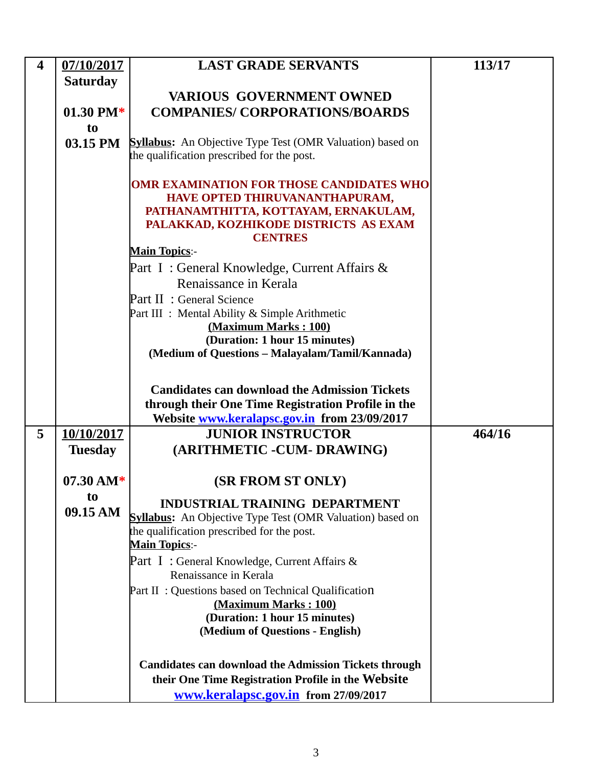| $\overline{\mathbf{4}}$ | 07/10/2017          | <b>LAST GRADE SERVANTS</b>                                                                                                                                                           | 113/17 |
|-------------------------|---------------------|--------------------------------------------------------------------------------------------------------------------------------------------------------------------------------------|--------|
|                         | <b>Saturday</b>     |                                                                                                                                                                                      |        |
|                         |                     | <b>VARIOUS GOVERNMENT OWNED</b>                                                                                                                                                      |        |
|                         | 01.30 PM $*$        | <b>COMPANIES/ CORPORATIONS/BOARDS</b>                                                                                                                                                |        |
|                         | to                  |                                                                                                                                                                                      |        |
|                         | 03.15 PM            | <b>Syllabus:</b> An Objective Type Test (OMR Valuation) based on<br>the qualification prescribed for the post.                                                                       |        |
|                         |                     | <b>OMR EXAMINATION FOR THOSE CANDIDATES WHO</b><br>HAVE OPTED THIRUVANANTHAPURAM,<br>PATHANAMTHITTA, KOTTAYAM, ERNAKULAM,<br>PALAKKAD, KOZHIKODE DISTRICTS AS EXAM<br><b>CENTRES</b> |        |
|                         |                     | <b>Main Topics:-</b>                                                                                                                                                                 |        |
|                         |                     | Part I: General Knowledge, Current Affairs &<br>Renaissance in Kerala<br>Part II : General Science                                                                                   |        |
|                         |                     | Part III : Mental Ability & Simple Arithmetic<br>(Maximum Marks: 100)                                                                                                                |        |
|                         |                     | (Duration: 1 hour 15 minutes)                                                                                                                                                        |        |
|                         |                     | (Medium of Questions - Malayalam/Tamil/Kannada)                                                                                                                                      |        |
|                         |                     | <b>Candidates can download the Admission Tickets</b><br>through their One Time Registration Profile in the                                                                           |        |
|                         |                     | Website www.keralapsc.gov.in from 23/09/2017                                                                                                                                         |        |
| 5                       | 10/10/2017          | <b>JUNIOR INSTRUCTOR</b>                                                                                                                                                             | 464/16 |
|                         | <b>Tuesday</b>      | (ARITHMETIC -CUM- DRAWING)                                                                                                                                                           |        |
|                         | $07.30 \text{ AM*}$ | <b>(SR FROM ST ONLY)</b>                                                                                                                                                             |        |
|                         | to<br>09.15 AM      | <b>INDUSTRIAL TRAINING DEPARTMENT</b><br><b>Syllabus:</b> An Objective Type Test (OMR Valuation) based on<br>the qualification prescribed for the post.<br><b>Main Topics:-</b>      |        |
|                         |                     | Part I: General Knowledge, Current Affairs &                                                                                                                                         |        |
|                         |                     | Renaissance in Kerala                                                                                                                                                                |        |
|                         |                     | Part II: Questions based on Technical Qualification                                                                                                                                  |        |
|                         |                     | (Maximum Marks: 100)<br>(Duration: 1 hour 15 minutes)                                                                                                                                |        |
|                         |                     | (Medium of Questions - English)                                                                                                                                                      |        |
|                         |                     |                                                                                                                                                                                      |        |
|                         |                     | <b>Candidates can download the Admission Tickets through</b>                                                                                                                         |        |
|                         |                     | their One Time Registration Profile in the Website                                                                                                                                   |        |
|                         |                     | www.keralapsc.gov.in from 27/09/2017                                                                                                                                                 |        |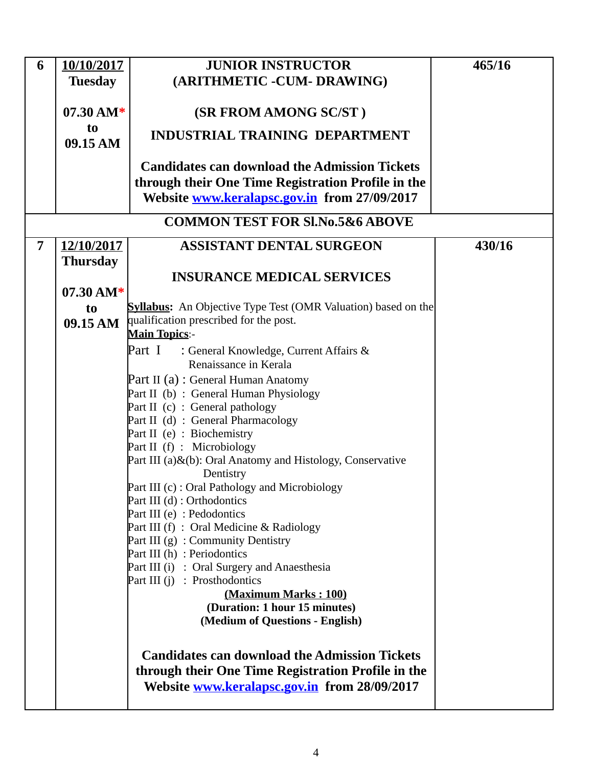| 6              | 10/10/2017          | <b>JUNIOR INSTRUCTOR</b>                                                 | 465/16 |
|----------------|---------------------|--------------------------------------------------------------------------|--------|
|                | <b>Tuesday</b>      | (ARITHMETIC -CUM- DRAWING)                                               |        |
|                |                     |                                                                          |        |
|                | $07.30 \text{ AM*}$ | (SR FROM AMONG SC/ST)                                                    |        |
|                | t <sub>o</sub>      | <b>INDUSTRIAL TRAINING DEPARTMENT</b>                                    |        |
|                | 09.15 AM            |                                                                          |        |
|                |                     | <b>Candidates can download the Admission Tickets</b>                     |        |
|                |                     | through their One Time Registration Profile in the                       |        |
|                |                     | Website www.keralapsc.gov.in from 27/09/2017                             |        |
|                |                     | <b>COMMON TEST FOR SI.No.5&amp;6 ABOVE</b>                               |        |
|                |                     |                                                                          |        |
| $\overline{7}$ | 12/10/2017          | <b>ASSISTANT DENTAL SURGEON</b>                                          | 430/16 |
|                | <b>Thursday</b>     |                                                                          |        |
|                |                     | <b>INSURANCE MEDICAL SERVICES</b>                                        |        |
|                | $07.30 \text{ AM*}$ | <b>Syllabus:</b> An Objective Type Test (OMR Valuation) based on the     |        |
|                | to<br>09.15 AM      | qualification prescribed for the post.                                   |        |
|                |                     | <b>Main Topics:-</b>                                                     |        |
|                |                     | Part I<br>: General Knowledge, Current Affairs &                         |        |
|                |                     | Renaissance in Kerala                                                    |        |
|                |                     | Part II (a) : General Human Anatomy                                      |        |
|                |                     | Part II (b) : General Human Physiology                                   |        |
|                |                     | Part II (c) : General pathology                                          |        |
|                |                     | Part II (d) : General Pharmacology<br>Part II (e) : Biochemistry         |        |
|                |                     | Part II (f) : Microbiology                                               |        |
|                |                     | Part III (a)&(b): Oral Anatomy and Histology, Conservative               |        |
|                |                     | Dentistry                                                                |        |
|                |                     | Part III (c) : Oral Pathology and Microbiology                           |        |
|                |                     | Part III (d) : Orthodontics                                              |        |
|                |                     | Part III (e) : Pedodontics<br>Part III $(f)$ : Oral Medicine & Radiology |        |
|                |                     | Part III $(g)$ : Community Dentistry                                     |        |
|                |                     | Part III (h) : Periodontics                                              |        |
|                |                     | Part III (i) : Oral Surgery and Anaesthesia                              |        |
|                |                     | Part III $(i)$ : Prosthodontics                                          |        |
|                |                     | (Maximum Marks: 100)                                                     |        |
|                |                     | (Duration: 1 hour 15 minutes)<br>(Medium of Questions - English)         |        |
|                |                     |                                                                          |        |
|                |                     | <b>Candidates can download the Admission Tickets</b>                     |        |
|                |                     | through their One Time Registration Profile in the                       |        |
|                |                     | Website www.keralapsc.gov.in from 28/09/2017                             |        |
|                |                     |                                                                          |        |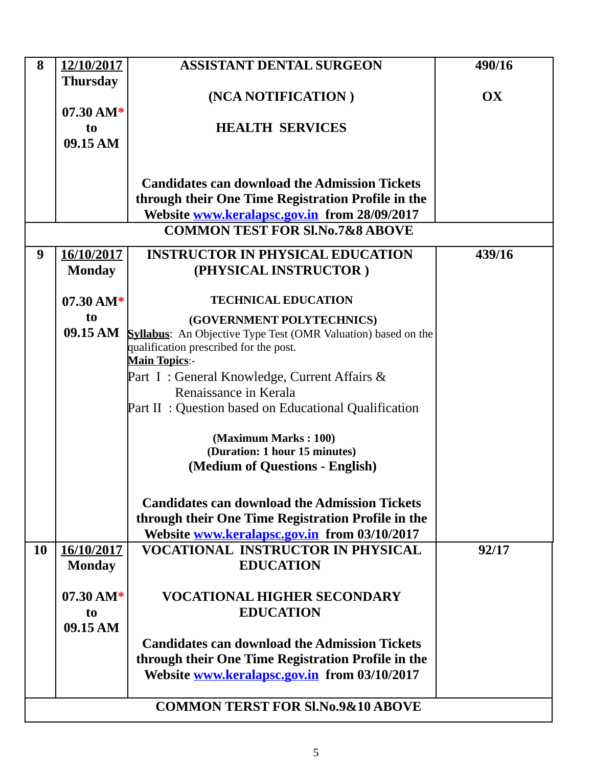| 8  | 12/10/2017                            | <b>ASSISTANT DENTAL SURGEON</b>                                                                    | 490/16        |
|----|---------------------------------------|----------------------------------------------------------------------------------------------------|---------------|
|    | <b>Thursday</b>                       |                                                                                                    |               |
|    | $07.30 \text{ AM*}$                   | (NCA NOTIFICATION)                                                                                 | $\mathbf{OX}$ |
|    | to                                    | <b>HEALTH SERVICES</b>                                                                             |               |
|    | 09.15 AM                              |                                                                                                    |               |
|    |                                       |                                                                                                    |               |
|    |                                       | <b>Candidates can download the Admission Tickets</b>                                               |               |
|    |                                       | through their One Time Registration Profile in the<br>Website www.keralapsc.gov.in from 28/09/2017 |               |
|    |                                       | <b>COMMON TEST FOR SI.No.7&amp;8 ABOVE</b>                                                         |               |
| 9  |                                       | <b>INSTRUCTOR IN PHYSICAL EDUCATION</b>                                                            | 439/16        |
|    | 16/10/2017<br><b>Monday</b>           | (PHYSICAL INSTRUCTOR)                                                                              |               |
|    |                                       |                                                                                                    |               |
|    | $07.30 \text{ AM*}$                   | <b>TECHNICAL EDUCATION</b>                                                                         |               |
|    | to<br>09.15 AM                        | (GOVERNMENT POLYTECHNICS)<br><b>Syllabus:</b> An Objective Type Test (OMR Valuation) based on the  |               |
|    |                                       | qualification prescribed for the post.                                                             |               |
|    |                                       | <b>Main Topics:-</b>                                                                               |               |
|    |                                       | Part I: General Knowledge, Current Affairs &<br>Renaissance in Kerala                              |               |
|    |                                       | Part II: Question based on Educational Qualification                                               |               |
|    |                                       |                                                                                                    |               |
|    |                                       | (Maximum Marks: 100)<br>(Duration: 1 hour 15 minutes)                                              |               |
|    |                                       | (Medium of Questions - English)                                                                    |               |
|    |                                       |                                                                                                    |               |
|    |                                       | <b>Candidates can download the Admission Tickets</b>                                               |               |
|    |                                       | through their One Time Registration Profile in the<br>Website www.keralapsc.gov.in from 03/10/2017 |               |
| 10 | 16/10/2017                            | <b>VOCATIONAL INSTRUCTOR IN PHYSICAL</b>                                                           | 92/17         |
|    | <b>Monday</b>                         | <b>EDUCATION</b>                                                                                   |               |
|    |                                       |                                                                                                    |               |
|    | $07.30 \text{ AM*}$<br>t <sub>0</sub> | <b>VOCATIONAL HIGHER SECONDARY</b><br><b>EDUCATION</b>                                             |               |
|    | 09.15 AM                              |                                                                                                    |               |
|    |                                       | <b>Candidates can download the Admission Tickets</b>                                               |               |
|    |                                       | through their One Time Registration Profile in the                                                 |               |
|    |                                       | Website www.keralapsc.gov.in from 03/10/2017                                                       |               |
|    |                                       | <b>COMMON TERST FOR SI.No.9&amp;10 ABOVE</b>                                                       |               |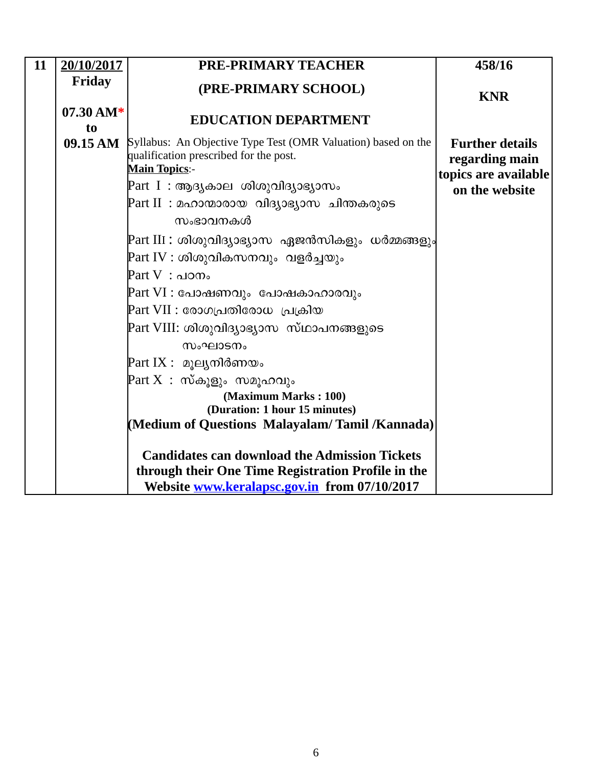| 11 | 20/10/2017                            | <b>PRE-PRIMARY TEACHER</b>                                                                                                                                                                                                                                                                                                                                                                                                                                                                                                                                                                                                                                                                                                             | 458/16                                                                             |
|----|---------------------------------------|----------------------------------------------------------------------------------------------------------------------------------------------------------------------------------------------------------------------------------------------------------------------------------------------------------------------------------------------------------------------------------------------------------------------------------------------------------------------------------------------------------------------------------------------------------------------------------------------------------------------------------------------------------------------------------------------------------------------------------------|------------------------------------------------------------------------------------|
|    | <b>Friday</b>                         | (PRE-PRIMARY SCHOOL)                                                                                                                                                                                                                                                                                                                                                                                                                                                                                                                                                                                                                                                                                                                   | <b>KNR</b>                                                                         |
|    | $07.30 \text{ AM*}$<br>t <sub>o</sub> | <b>EDUCATION DEPARTMENT</b>                                                                                                                                                                                                                                                                                                                                                                                                                                                                                                                                                                                                                                                                                                            |                                                                                    |
|    | 09.15 AM                              | Syllabus: An Objective Type Test (OMR Valuation) based on the<br>qualification prescribed for the post.<br><b>Main Topics:-</b><br>Part I : ആദ്യകാല ശിശുവിദ്യാഭ്യാസം<br>Part II : മഹാന്മാരായ വിദ്യാഭ്യാസ ചിന്തകരുടെ<br>സംഭാവനകൾ<br>Part III : ശിശുവിദ്യാഭ്യാസ ഏജൻസികളും ധർമ്മങ്ങളും <br>Part IV : ശിശുവികസനവും  വളർച്ചയും<br>$\mathop{\rm Part}\nolimits {\rm V}\,$ : പഠനം<br>Part VI : പോഷണവും  പോഷകാഹാരവും<br>Part VII : രോഗപ്രതിരോധ  പ്രക്രിയ<br>Part VIII: ശിശുവിദ്യാഭ്യാസ സ്ഥാപനങ്ങളുടെ<br>സംഘാടനം<br>Part IX : മൂല്യനിർണയം<br>${\tt Part~X:~}$ സ്കൂളും സമൂഹവും<br>(Maximum Marks: 100)<br>(Duration: 1 hour 15 minutes)<br>(Medium of Questions Malayalam/Tamil/Kannada)<br><b>Candidates can download the Admission Tickets</b> | <b>Further details</b><br>regarding main<br>topics are available<br>on the website |
|    |                                       | through their One Time Registration Profile in the<br>Website www.keralapsc.gov.in from 07/10/2017                                                                                                                                                                                                                                                                                                                                                                                                                                                                                                                                                                                                                                     |                                                                                    |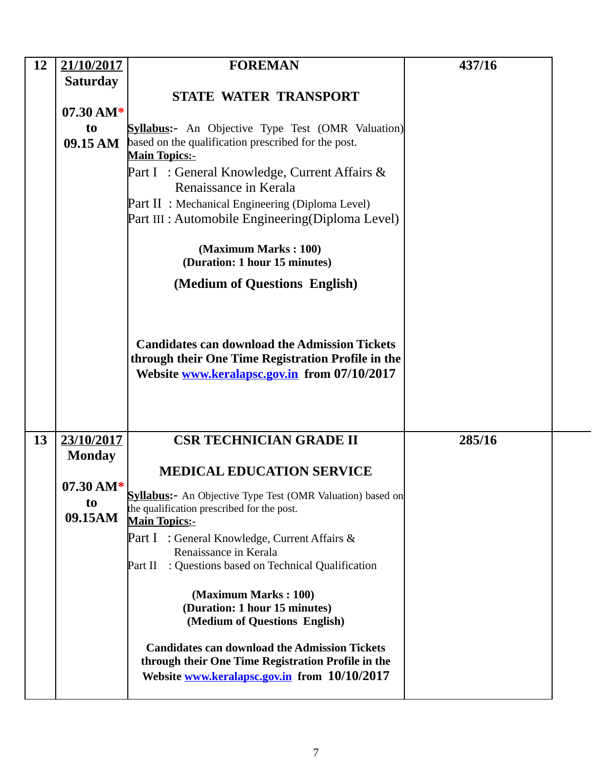| <b>12</b> | 21/10/2017                  | <b>FOREMAN</b>                                                                                                                                             | 437/16 |
|-----------|-----------------------------|------------------------------------------------------------------------------------------------------------------------------------------------------------|--------|
|           | <b>Saturday</b>             |                                                                                                                                                            |        |
|           |                             | <b>STATE WATER TRANSPORT</b>                                                                                                                               |        |
|           | $07.30 \text{ AM*}$<br>to   | <b>Syllabus:-</b> An Objective Type Test (OMR Valuation)                                                                                                   |        |
|           | 09.15 AM                    | based on the qualification prescribed for the post.                                                                                                        |        |
|           |                             | <b>Main Topics:-</b><br>Part I: General Knowledge, Current Affairs &                                                                                       |        |
|           |                             | Renaissance in Kerala                                                                                                                                      |        |
|           |                             | Part II: Mechanical Engineering (Diploma Level)                                                                                                            |        |
|           |                             | Part III : Automobile Engineering (Diploma Level)                                                                                                          |        |
|           |                             | (Maximum Marks: 100)<br>(Duration: 1 hour 15 minutes)                                                                                                      |        |
|           |                             | (Medium of Questions English)                                                                                                                              |        |
|           |                             |                                                                                                                                                            |        |
|           |                             | <b>Candidates can download the Admission Tickets</b><br>through their One Time Registration Profile in the<br>Website www.keralapsc.gov.in from 07/10/2017 |        |
|           |                             |                                                                                                                                                            |        |
| 13        | 23/10/2017<br><b>Monday</b> | <b>CSR TECHNICIAN GRADE II</b>                                                                                                                             | 285/16 |
|           |                             | <b>MEDICAL EDUCATION SERVICE</b>                                                                                                                           |        |
|           | $07.30 \text{ AM*}$         |                                                                                                                                                            |        |
|           | t <sub>0</sub>              | <b>Syllabus:</b> - An Objective Type Test (OMR Valuation) based on<br>the qualification prescribed for the post.                                           |        |
|           | 09.15AM                     | <b>Main Topics:-</b>                                                                                                                                       |        |
|           |                             | <b>Part I</b> : General Knowledge, Current Affairs &                                                                                                       |        |
|           |                             | Renaissance in Kerala<br>: Questions based on Technical Qualification<br>Part II                                                                           |        |
|           |                             |                                                                                                                                                            |        |
|           |                             | (Maximum Marks: 100)<br>(Duration: 1 hour 15 minutes)<br>(Medium of Questions English)                                                                     |        |
|           |                             | <b>Candidates can download the Admission Tickets</b><br>through their One Time Registration Profile in the<br>Website www.keralapsc.gov.in from 10/10/2017 |        |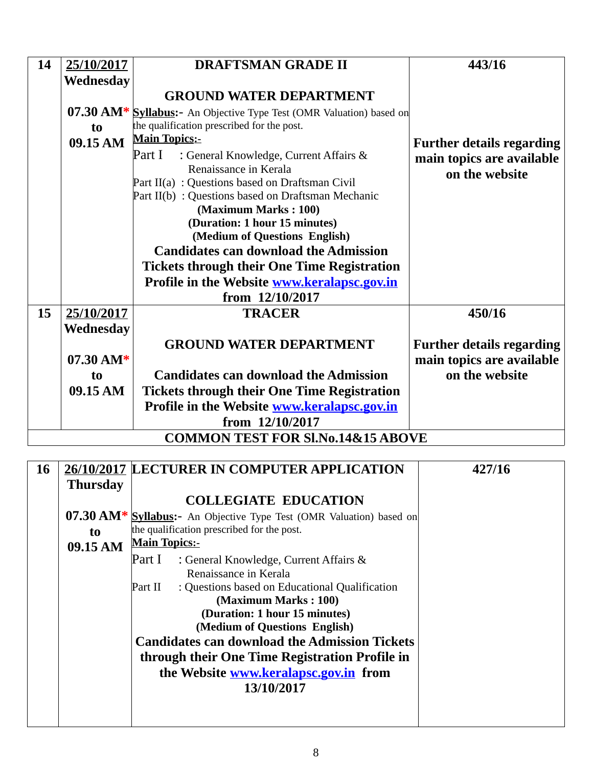| 14 | 25/10/2017     | <b>DRAFTSMAN GRADE II</b>                                                 | 443/16                           |
|----|----------------|---------------------------------------------------------------------------|----------------------------------|
|    | Wednesday      |                                                                           |                                  |
|    |                | <b>GROUND WATER DEPARTMENT</b>                                            |                                  |
|    |                | 07.30 AM* Syllabus: - An Objective Type Test (OMR Valuation) based on     |                                  |
|    | t <sub>0</sub> | the qualification prescribed for the post.                                |                                  |
|    | 09.15 AM       | <b>Main Topics:-</b>                                                      | <b>Further details regarding</b> |
|    |                | Part I<br>: General Knowledge, Current Affairs &<br>Renaissance in Kerala | main topics are available        |
|    |                | Part II(a) : Questions based on Draftsman Civil                           | on the website                   |
|    |                | Part II(b) : Questions based on Draftsman Mechanic                        |                                  |
|    |                | (Maximum Marks: 100)                                                      |                                  |
|    |                | (Duration: 1 hour 15 minutes)                                             |                                  |
|    |                | (Medium of Questions English)                                             |                                  |
|    |                | <b>Candidates can download the Admission</b>                              |                                  |
|    |                | <b>Tickets through their One Time Registration</b>                        |                                  |
|    |                | Profile in the Website www.keralapsc.gov.in                               |                                  |
|    |                | from 12/10/2017                                                           |                                  |
| 15 | 25/10/2017     | <b>TRACER</b>                                                             | 450/16                           |
|    | Wednesday      |                                                                           |                                  |
|    |                | <b>GROUND WATER DEPARTMENT</b>                                            | <b>Further details regarding</b> |
|    | 07.30 AM*      |                                                                           | main topics are available        |
|    | t <sub>0</sub> | <b>Candidates can download the Admission</b>                              | on the website                   |
|    | 09.15 AM       | <b>Tickets through their One Time Registration</b>                        |                                  |
|    |                | Profile in the Website www.keralapsc.gov.in                               |                                  |
|    |                | from 12/10/2017                                                           |                                  |
|    |                | <b>COMMON TEST FOR SI.No.14&amp;15 ABOVE</b>                              |                                  |

| 16 |                 | 26/10/2017 LECTURER IN COMPUTER APPLICATION                           | 427/16 |
|----|-----------------|-----------------------------------------------------------------------|--------|
|    | <b>Thursday</b> |                                                                       |        |
|    |                 | <b>COLLEGIATE EDUCATION</b>                                           |        |
|    |                 | 07.30 AM* Syllabus: - An Objective Type Test (OMR Valuation) based on |        |
|    | t <sub>0</sub>  | the qualification prescribed for the post.                            |        |
|    | 09.15 AM        | <b>Main Topics:-</b>                                                  |        |
|    |                 | Part I<br>: General Knowledge, Current Affairs &                      |        |
|    |                 | Renaissance in Kerala                                                 |        |
|    |                 | : Questions based on Educational Qualification<br>Part II             |        |
|    |                 | (Maximum Marks: 100)                                                  |        |
|    |                 | (Duration: 1 hour 15 minutes)                                         |        |
|    |                 | (Medium of Questions English)                                         |        |
|    |                 | <b>Candidates can download the Admission Tickets</b>                  |        |
|    |                 | through their One Time Registration Profile in                        |        |
|    |                 | the Website www.keralapsc.gov.in from                                 |        |
|    |                 | 13/10/2017                                                            |        |
|    |                 |                                                                       |        |
|    |                 |                                                                       |        |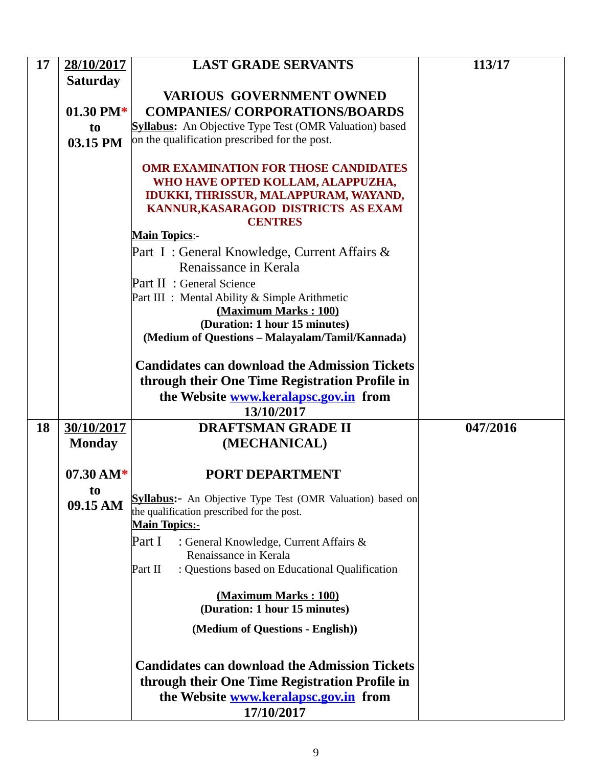| 17 | 28/10/2017          | <b>LAST GRADE SERVANTS</b>                                        | 113/17   |
|----|---------------------|-------------------------------------------------------------------|----------|
|    | <b>Saturday</b>     |                                                                   |          |
|    |                     | <b>VARIOUS GOVERNMENT OWNED</b>                                   |          |
|    | 01.30 PM $*$        | <b>COMPANIES/ CORPORATIONS/BOARDS</b>                             |          |
|    | to                  | <b>Syllabus:</b> An Objective Type Test (OMR Valuation) based     |          |
|    | 03.15 PM            | on the qualification prescribed for the post.                     |          |
|    |                     |                                                                   |          |
|    |                     | <b>OMR EXAMINATION FOR THOSE CANDIDATES</b>                       |          |
|    |                     | WHO HAVE OPTED KOLLAM, ALAPPUZHA,                                 |          |
|    |                     | IDUKKI, THRISSUR, MALAPPURAM, WAYAND,                             |          |
|    |                     | KANNUR, KASARAGOD DISTRICTS AS EXAM<br><b>CENTRES</b>             |          |
|    |                     | <b>Main Topics:-</b>                                              |          |
|    |                     | Part I: General Knowledge, Current Affairs &                      |          |
|    |                     | Renaissance in Kerala                                             |          |
|    |                     | <b>Part II: General Science</b>                                   |          |
|    |                     | Part III : Mental Ability & Simple Arithmetic                     |          |
|    |                     | (Maximum Marks: 100)                                              |          |
|    |                     | (Duration: 1 hour 15 minutes)                                     |          |
|    |                     | (Medium of Questions - Malayalam/Tamil/Kannada)                   |          |
|    |                     |                                                                   |          |
|    |                     | <b>Candidates can download the Admission Tickets</b>              |          |
|    |                     | through their One Time Registration Profile in                    |          |
|    |                     | the Website www.keralapsc.gov.in from                             |          |
|    |                     | 13/10/2017                                                        |          |
| 18 | 30/10/2017          | <b>DRAFTSMAN GRADE II</b>                                         | 047/2016 |
|    | <b>Monday</b>       | (MECHANICAL)                                                      |          |
|    |                     |                                                                   |          |
|    | $07.30 \text{ AM*}$ | <b>PORT DEPARTMENT</b>                                            |          |
|    | t <sub>0</sub>      | <b>Syllabus:-</b> An Objective Type Test (OMR Valuation) based on |          |
|    | 09.15 AM            | the qualification prescribed for the post.                        |          |
|    |                     | <b>Main Topics:-</b>                                              |          |
|    |                     | Part I<br>: General Knowledge, Current Affairs &                  |          |
|    |                     | Renaissance in Kerala                                             |          |
|    |                     | : Questions based on Educational Qualification<br>Part II         |          |
|    |                     |                                                                   |          |
|    |                     | (Maximum Marks: 100)<br>(Duration: 1 hour 15 minutes)             |          |
|    |                     |                                                                   |          |
|    |                     | (Medium of Questions - English))                                  |          |
|    |                     |                                                                   |          |
|    |                     | <b>Candidates can download the Admission Tickets</b>              |          |
|    |                     | through their One Time Registration Profile in                    |          |
|    |                     | the Website www.keralapsc.gov.in from                             |          |
|    |                     | 17/10/2017                                                        |          |